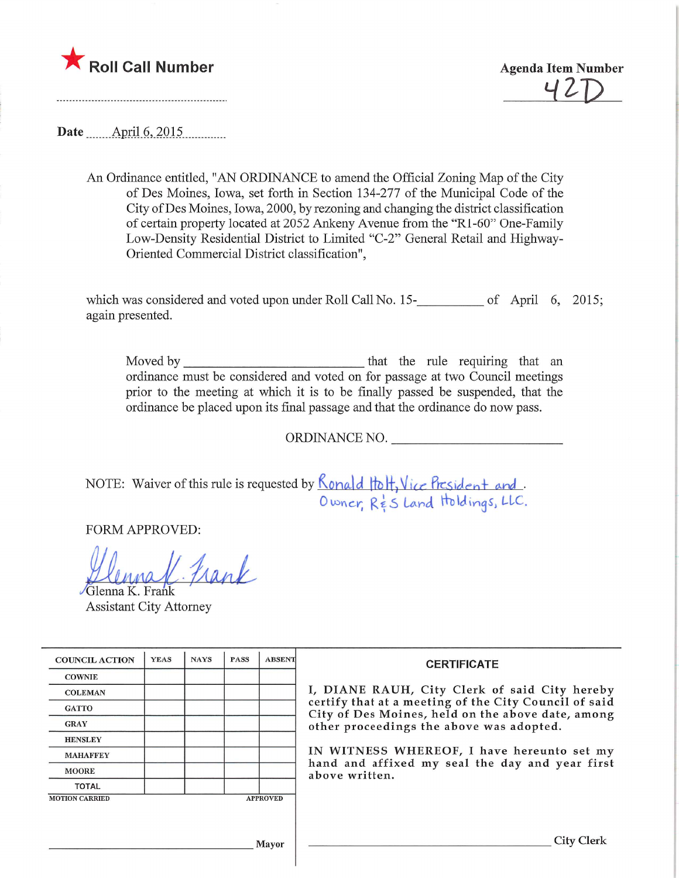

^2-R

Date ........Apnl.6,.2015,

An Ordinance entitled, "AN ORDINANCE to amend the Official Zoning Map of the City of Des Moines, Iowa, set forth in Section 134-277 of the Municipal Code of the City of Des Moines, Iowa, 2000, by rezoning and changing the district classification of certain property located at 2052 Ankeny Avenue from the "Rl-60" One-Family Low-Density Residential District to Limited "C-2" General Retail and Highway-Oriented Commercial District classification",

which was considered and voted upon under Roll Call No.  $15$ - $\_\_\_\_\_\_$  of April 6, 2015 again presented.

Moved by that the rule requiring that an ordinance must be considered and voted on for passage at two Council meetings prior to the meeting at which it is to be finally passed be suspended, that the ordinance be placed upon its final passage and that the ordinance do now pass.

ORDINANCE NO.

NOTE: Waiver of this rule is requested by  $N$  and  $\alpha$  is  $\Gamma$ ,  $\iota$  is  $\iota$  is  $\iota$  and  $\iota$  $O$  wher  $K_{ES}$  Land 1101 dings, LLC

FORM APPROVED:

elhna  $\mathbf{r}$ trank

/Glenna K. Frank Assistant City Attorney

| <b>COUNCIL ACTION</b> | <b>YEAS</b> | <b>NAYS</b> | <b>PASS</b> | <b>ABSENT</b>   | <b>CERTIFICATE</b>                                                                                                                                                                                                                                                                                                         |
|-----------------------|-------------|-------------|-------------|-----------------|----------------------------------------------------------------------------------------------------------------------------------------------------------------------------------------------------------------------------------------------------------------------------------------------------------------------------|
| <b>COWNIE</b>         |             |             |             |                 | I, DIANE RAUH, City Clerk of said City hereby<br>certify that at a meeting of the City Council of said<br>City of Des Moines, held on the above date, among<br>other proceedings the above was adopted.<br>IN WITNESS WHEREOF, I have hereunto set my<br>hand and affixed my seal the day and year first<br>above written. |
| <b>COLEMAN</b>        |             |             |             |                 |                                                                                                                                                                                                                                                                                                                            |
| <b>GATTO</b>          |             |             |             |                 |                                                                                                                                                                                                                                                                                                                            |
| <b>GRAY</b>           |             |             |             |                 |                                                                                                                                                                                                                                                                                                                            |
| <b>HENSLEY</b>        |             |             |             |                 |                                                                                                                                                                                                                                                                                                                            |
| <b>MAHAFFEY</b>       |             |             |             |                 |                                                                                                                                                                                                                                                                                                                            |
| <b>MOORE</b>          |             |             |             |                 |                                                                                                                                                                                                                                                                                                                            |
| <b>TOTAL</b>          |             |             |             |                 |                                                                                                                                                                                                                                                                                                                            |
| <b>MOTION CARRIED</b> |             |             |             | <b>APPROVED</b> |                                                                                                                                                                                                                                                                                                                            |
|                       |             |             |             |                 |                                                                                                                                                                                                                                                                                                                            |
| Mayor                 |             |             |             |                 | City Clerl                                                                                                                                                                                                                                                                                                                 |